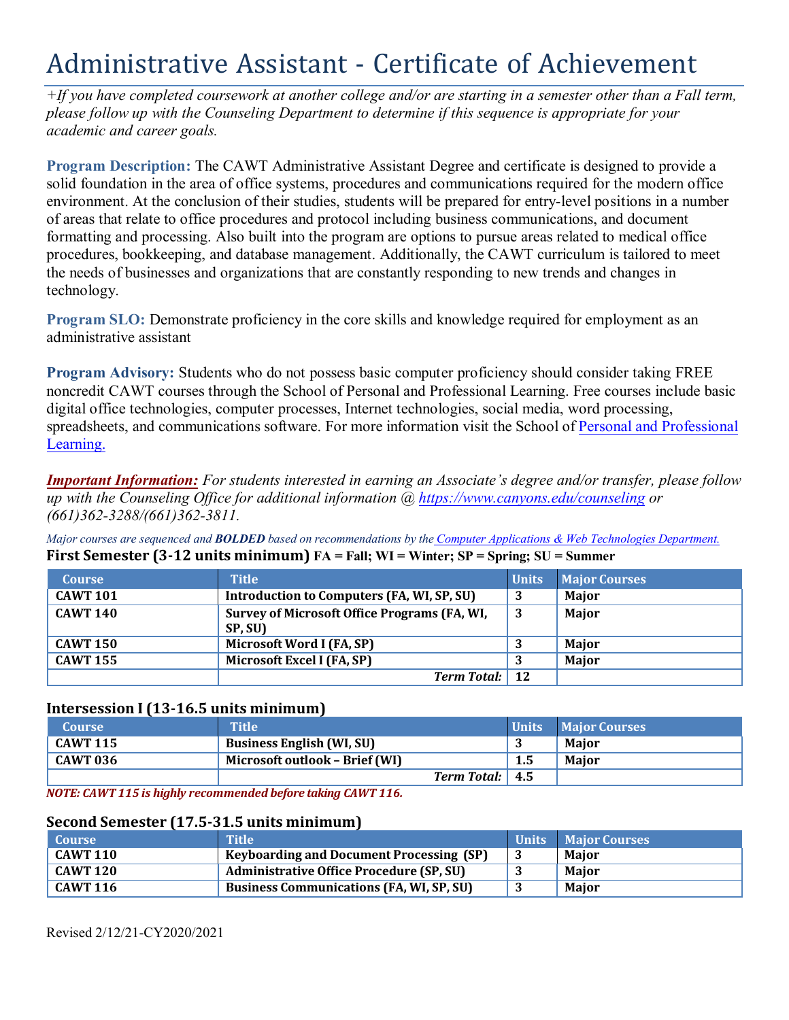# Administrative Assistant - Certificate of Achievement

*+If you have completed coursework at another college and/or are starting in a semester other than a Fall term, please follow up with the Counseling Department to determine if this sequence is appropriate for your academic and career goals.* 

 formatting and processing. Also built into the program are options to pursue areas related to medical office the needs of businesses and organizations that are constantly responding to new trends and changes in **Program Description:** The CAWT Administrative Assistant Degree and certificate is designed to provide a solid foundation in the area of office systems, procedures and communications required for the modern office environment. At the conclusion of their studies, students will be prepared for entry-level positions in a number of areas that relate to office procedures and protocol including business communications, and document procedures, bookkeeping, and database management. Additionally, the CAWT curriculum is tailored to meet technology.

**Program SLO:** Demonstrate proficiency in the core skills and knowledge required for employment as an administrative assistant

**Program Advisory:** Students who do not possess basic computer proficiency should consider taking FREE noncredit CAWT courses through the School of Personal and Professional Learning. Free courses include basic digital office technologies, computer processes, Internet technologies, social media, word processing, spreadsheets, and communications software. For more information visit the School of Personal and Professional Learning.

*Important Information: For students interested in earning an Associate's degree and/or transfer, please follow up with the Counseling Office for additional information @<https://www.canyons.edu/counseling> or (661)362-3288/(661)362-3811.* 

*Major courses are sequenced and BOLDED based on recommendations by the Computer Applications & Web Technologies Department.*  **First Semester (3-12 units minimum) FA = Fall; WI = Winter; SP = Spring; SU = Summer** 

| <b>Course</b>   | <b>Title</b>                                            | Units | <b>Major Courses</b> |
|-----------------|---------------------------------------------------------|-------|----------------------|
| <b>CAWT 101</b> | Introduction to Computers (FA, WI, SP, SU)              | -3    | Major                |
| <b>CAWT 140</b> | Survey of Microsoft Office Programs (FA, WI,<br>SP, SU) | -3    | Major                |
| <b>CAWT 150</b> | Microsoft Word I (FA, SP)                               |       | <b>Maior</b>         |
| <b>CAWT 155</b> | Microsoft Excel I (FA, SP)                              |       | <b>Major</b>         |
|                 | <b>Term Total:</b> 12                                   |       |                      |

### **Intersession I (13-16.5 units minimum)**

| <b>Course</b>       | <b>Title</b>                     |                 |     | Units Major Courses |
|---------------------|----------------------------------|-----------------|-----|---------------------|
| $\Gamma$ CAWT 115   | <b>Business English (WI, SU)</b> |                 |     | Maior               |
| $^{\circ}$ CAWT 036 | Microsoft outlook - Brief (WI)   |                 | 1.5 | Maior               |
|                     |                                  | Term Total: 4.5 |     |                     |

*NOTE: CAWT 115 is highly recommended before taking CAWT 116.* 

### **Second Semester (17.5-31.5 units minimum)**

| <b>Course</b>   | Title                                           | <b>Units</b> Maior Courses |
|-----------------|-------------------------------------------------|----------------------------|
| <b>CAWT 110</b> | <b>Keyboarding and Document Processing (SP)</b> | Maior                      |
| <b>CAWT 120</b> | <b>Administrative Office Procedure (SP, SU)</b> | Major                      |
| <b>CAWT 116</b> | <b>Business Communications (FA, WI, SP, SU)</b> | <b>Maior</b>               |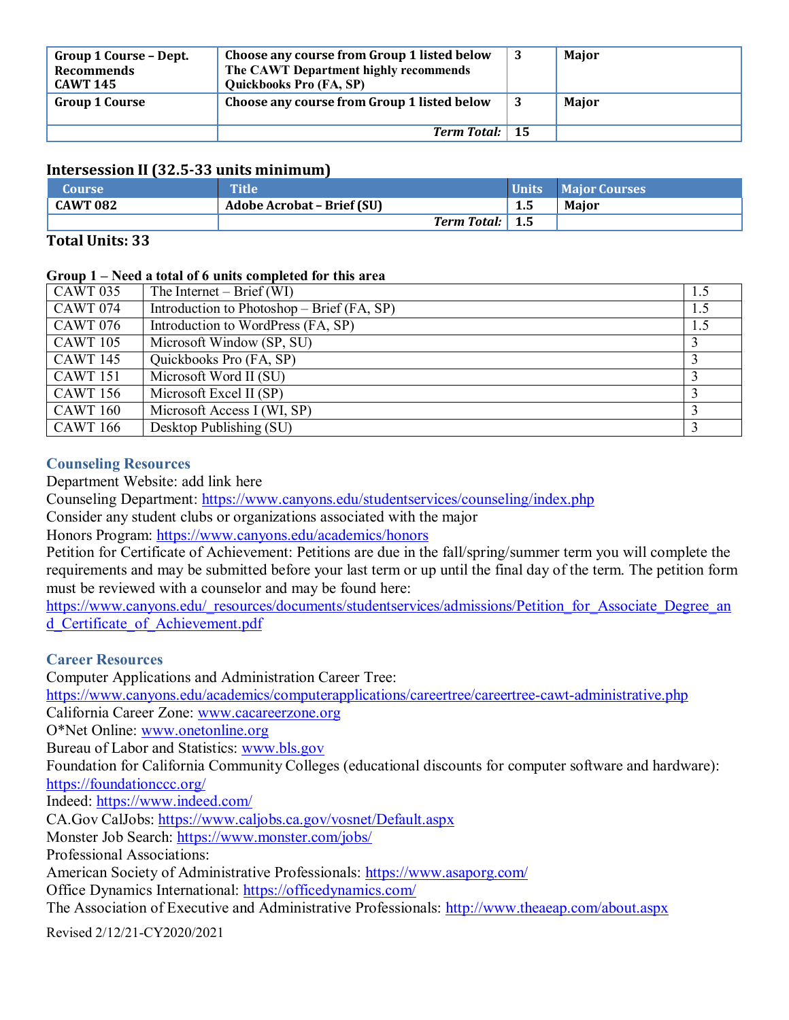| <b>Group 1 Course - Dept.</b><br><b>Recommends</b><br><b>CAWT 145</b> | Choose any course from Group 1 listed below<br>The CAWT Department highly recommends<br>Quickbooks Pro (FA, SP) | 3 | Major |
|-----------------------------------------------------------------------|-----------------------------------------------------------------------------------------------------------------|---|-------|
| <b>Group 1 Course</b>                                                 | Choose any course from Group 1 listed below                                                                     |   | Major |
|                                                                       | Term Total: 15                                                                                                  |   |       |

# **Intersession II (32.5-33 units minimum)**

| <b>Course</b>   | <b>Title</b>                      |     | Units Maior Courses |
|-----------------|-----------------------------------|-----|---------------------|
| <b>CAWT 082</b> | <b>Adobe Acrobat - Brief (SU)</b> | 1.5 | <b>Maior</b>        |
|                 | Term Total:   1.5                 |     |                     |

## **Total Units: 33**

### **Group 1 – Need a total of 6 units completed for this area**

| <b>CAWT 035</b> | The Internet $-$ Brief (WI)                | 1.5 |
|-----------------|--------------------------------------------|-----|
| <b>CAWT 074</b> | Introduction to Photoshop – Brief (FA, SP) | 1.5 |
| <b>CAWT 076</b> | Introduction to WordPress (FA, SP)         | 1.5 |
| <b>CAWT</b> 105 | Microsoft Window (SP, SU)                  |     |
| <b>CAWT 145</b> | Quickbooks Pro (FA, SP)                    |     |
| <b>CAWT</b> 151 | Microsoft Word II (SU)                     |     |
| <b>CAWT 156</b> | Microsoft Excel II (SP)                    |     |
| <b>CAWT 160</b> | Microsoft Access I (WI, SP)                |     |
| <b>CAWT</b> 166 | Desktop Publishing (SU)                    |     |

## **Counseling Resources**

Department Website: add link here

Counseling Department: <https://www.canyons.edu/studentservices/counseling/index.php>

Consider any student clubs or organizations associated with the major

Honors Program: https://www.canyons.edu/academics/honors

 Petition for Certificate of Achievement: Petitions are due in the fall/spring/summer term you will complete the requirements and may be submitted before your last term or up until the final day of the term. The petition form must be reviewed with a counselor and may be found here:

https://www.canyons.edu/\_resources/documents/studentservices/admissions/Petition\_for\_Associate\_Degree\_an d\_Certificate\_of\_Achievement.pdf

# **Career Resources**

California Career Zone: [www.cacareerzone.org](http://www.cacareerzone.org) O\*Net Online: www.onetonline.org Bureau of Labor and Statistics: www.bls.gov Foundation for California Community Colleges (educational discounts for computer software and hardware): Indeed: https://www.indeed.com/ CA.Gov CalJobs: https://www.caljobs.ca.gov/vosnet/Default.aspx Monster Job Search: https://www.monster.com/jobs/ The Association of Executive and Administrative Professionals: http://www.theaeap.com/about.aspx Computer Applications and Administration Career Tree: <https://www.canyons.edu/academics/computerapplications/careertree/careertree-cawt-administrative.php> <https://foundationccc.org/> Professional Associations: American Society of Administrative Professionals:<https://www.asaporg.com/> Office Dynamics International: <https://officedynamics.com/>

Revised 2/12/21-CY2020/2021